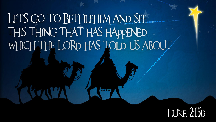LETS GO TO BETHLEHEM AND SEE. THIS THING THAT HAS HAPPENED. WHICH THE LORD HAS TOLD US ABOUT

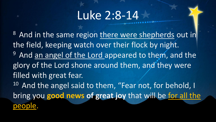# Luke 2:8-14

<sup>8</sup> And in the same region there were shepherds out in the field, keeping watch over their flock by night. <sup>9</sup> And an angel of the Lord appeared to them, and the glory of the Lord shone around them, and they were filled with great fear. <sup>10</sup> And the angel said to them, "Fear not, for behold, I bring you **good news of great joy** that will be for all the people.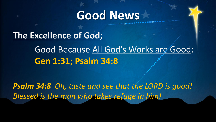**The Excellence of God;** 

Good Because All God's Works are Good: **Gen 1:31; Psalm 34:8**

*Psalm 34:8 Oh, taste and see that the LORD is good! Blessed is the man who takes refuge in him!*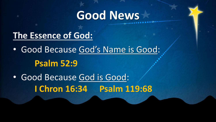#### **The Essence of God:**

• Good Because God's Name is Good: **Psalm 52:9**

• Good Because God is Good: **I Chron 16:34 Psalm 119:68**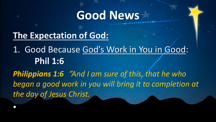#### **The Expectation of God:**

•

1. Good Because God's Work in You in Good: **Phil 1:6**

*Philippians 1:6 "And I am sure of this, that he who began a good work in you will bring it to completion at the day of Jesus Christ.*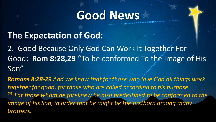### **The Expectation of God:**

2. Good Because Only God Can Work It Together For Good: **Rom 8:28,29** "To be conformed To the Image of His Son"

*Romans 8:28-29 And we know that for those who love God all things work together for good, for those who are called according to his purpose. <sup>29</sup>For those whom he foreknew he also predestined to be conformed to the image of his Son, in order that he might be the firstborn among many brothers.*